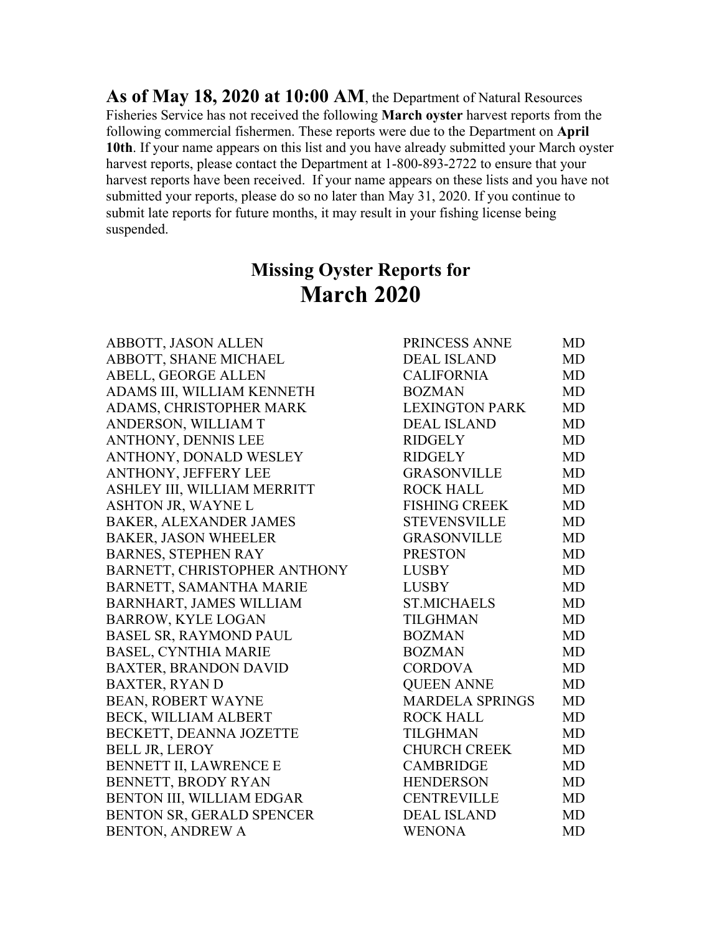**As of May 18, 2020 at 10:00 AM**, the Department of Natural Resources Fisheries Service has not received the following **March oyster** harvest reports from the following commercial fishermen. These reports were due to the Department on **April 10th**. If your name appears on this list and you have already submitted your March oyster harvest reports, please contact the Department at 1-800-893-2722 to ensure that your harvest reports have been received. If your name appears on these lists and you have not submitted your reports, please do so no later than May 31, 2020. If you continue to submit late reports for future months, it may result in your fishing license being suspended.

## **Missing Oyster Reports for March 2020**

ABBOTT, JASON ALLEN ABBOTT, SHANE MICHAEL ABELL, GEORGE ALLEN ADAMS III, WILLIAM KENNETH ADAMS, CHRISTOPHER MARK ANDERSON, WILLIAM T ANTHONY, DENNIS LEE ANTHONY, DONALD WESLEY ANTHONY, JEFFERY LEE ASHLEY III, WILLIAM MERRITT ASHTON JR, WAYNE L BAKER, ALEXANDER JAMES BAKER, JASON WHEELER BARNES, STEPHEN RAY BARNETT, CHRISTOPHER ANTHONY BARNETT, SAMANTHA MARIE BARNHART, JAMES WILLIAM BARROW, KYLE LOGAN BASEL SR, RAYMOND PAUL BASEL, CYNTHIA MARIE BAXTER, BRANDON DAVID BAXTER, RYAN D BEAN, ROBERT WAYNE BECK, WILLIAM ALBERT BECKETT, DEANNA JOZETTE BELL JR, LEROY BENNETT II, LAWRENCE E BENNETT, BRODY RYAN BENTON III, WILLIAM EDGAR BENTON SR, GERALD SPENCER BENTON, ANDREW A WENONA WENONA MD

| PRINCESS ANNE          | MD        |
|------------------------|-----------|
| <b>DEAL ISLAND</b>     | MD        |
| <b>CALIFORNIA</b>      | <b>MD</b> |
| <b>BOZMAN</b>          | <b>MD</b> |
| <b>LEXINGTON PARK</b>  | MD        |
| <b>DEAL ISLAND</b>     | <b>MD</b> |
| <b>RIDGELY</b>         | <b>MD</b> |
| <b>RIDGELY</b>         | <b>MD</b> |
| <b>GRASONVILLE</b>     | MD        |
| <b>ROCK HALL</b>       | <b>MD</b> |
| <b>FISHING CREEK</b>   | <b>MD</b> |
| <b>STEVENSVILLE</b>    | <b>MD</b> |
| <b>GRASONVILLE</b>     | <b>MD</b> |
| <b>PRESTON</b>         | <b>MD</b> |
| <b>LUSBY</b>           | <b>MD</b> |
| <b>LUSBY</b>           | MD        |
| <b>ST.MICHAELS</b>     | <b>MD</b> |
| <b>TILGHMAN</b>        | <b>MD</b> |
| <b>BOZMAN</b>          | <b>MD</b> |
| <b>BOZMAN</b>          | <b>MD</b> |
| <b>CORDOVA</b>         | <b>MD</b> |
| <b>QUEEN ANNE</b>      | <b>MD</b> |
| <b>MARDELA SPRINGS</b> | MD        |
| <b>ROCK HALL</b>       | <b>MD</b> |
| <b>TILGHMAN</b>        | <b>MD</b> |
| <b>CHURCH CREEK</b>    | <b>MD</b> |
| <b>CAMBRIDGE</b>       | MD        |
| <b>HENDERSON</b>       | <b>MD</b> |
| <b>CENTREVILLE</b>     | <b>MD</b> |
| <b>DEAL ISLAND</b>     | MD        |
| <b>WENONA</b>          | MD        |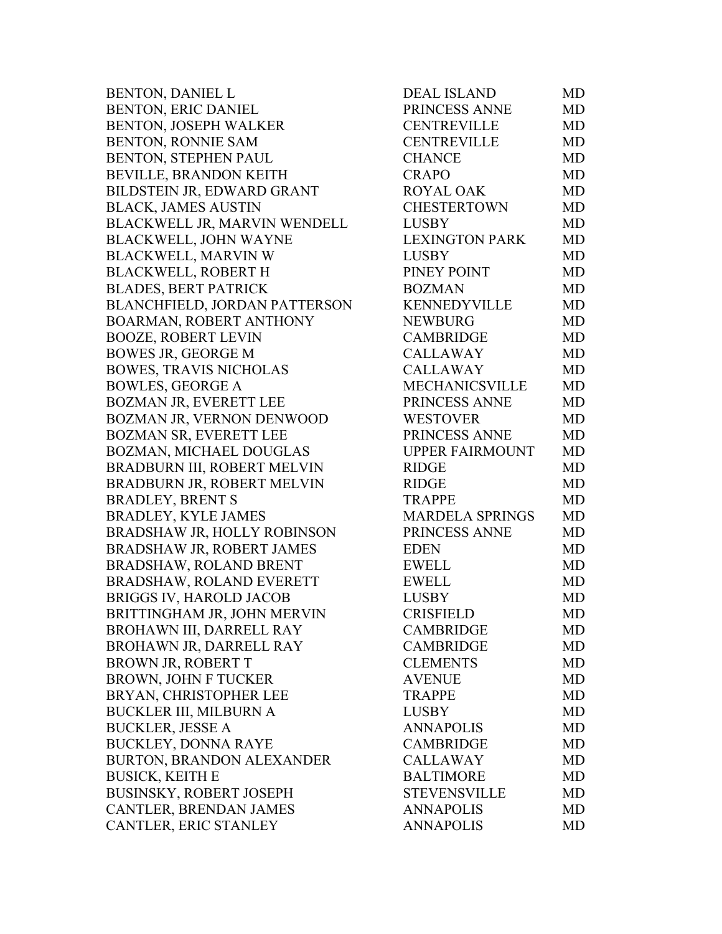BENTON, DANIEL L BENTON, ERIC DANIEL BENTON, JOSEPH WALKER BENTON, RONNIE SAM BENTON, STEPHEN PAUL BEVILLE, BRANDON KEITH BILDSTEIN JR, EDWARD GRANT BLACK, JAMES AUSTIN BLACKWELL JR, MARVIN WENDELL BLACKWELL, JOHN WAYNE BLACKWELL, MARVIN W BLACKWELL, ROBERT H BLADES, BERT PATRICK BLANCHFIELD, JORDAN PATTERSON BOARMAN, ROBERT ANTHONY BOOZE, ROBERT LEVIN BOWES JR, GEORGE M BOWES, TRAVIS NICHOLAS BOWLES, GEORGE A BOZMAN JR, EVERETT LEE BOZMAN JR, VERNON DENWOOD BOZMAN SR, EVERETT LEE BOZMAN, MICHAEL DOUGLAS BRADBURN III, ROBERT MELVIN BRADBURN JR, ROBERT MELVIN BRADLEY, BRENT S BRADLEY, KYLE JAMES BRADSHAW JR, HOLLY ROBINSON BRADSHAW JR, ROBERT JAMES BRADSHAW, ROLAND BRENT BRADSHAW, ROLAND EVERETT BRIGGS IV, HAROLD JACOB BRITTINGHAM JR, JOHN MERVIN BROHAWN III, DARRELL RAY BROHAWN JR, DARRELL RAY BROWN JR, ROBERT T BROWN, JOHN F TUCKER BRYAN, CHRISTOPHER LEE BUCKLER III, MILBURN A BUCKLER, JESSE A BUCKLEY, DONNA RAYE BURTON, BRANDON ALEXANDER BUSICK, KEITH E BUSINSKY, ROBERT JOSEPH CANTLER, BRENDAN JAMES CANTLER, ERIC STANLEY

| <b>DEAL ISLAND</b>     | MD        |
|------------------------|-----------|
| PRINCESS ANNE          | <b>MD</b> |
| <b>CENTREVILLE</b>     | <b>MD</b> |
| <b>CENTREVILLE</b>     | <b>MD</b> |
| <b>CHANCE</b>          | <b>MD</b> |
| <b>CRAPO</b>           | <b>MD</b> |
| <b>ROYAL OAK</b>       | MD        |
| <b>CHESTERTOWN</b>     | <b>MD</b> |
| <b>LUSBY</b>           | <b>MD</b> |
| <b>LEXINGTON PARK</b>  | <b>MD</b> |
| <b>LUSBY</b>           | <b>MD</b> |
| PINEY POINT            | <b>MD</b> |
| <b>BOZMAN</b>          | <b>MD</b> |
| <b>KENNEDYVILLE</b>    | <b>MD</b> |
| <b>NEWBURG</b>         | <b>MD</b> |
| <b>CAMBRIDGE</b>       | <b>MD</b> |
| <b>CALLAWAY</b>        | MD        |
| <b>CALLAWAY</b>        | <b>MD</b> |
| MECHANICSVILLE         | <b>MD</b> |
| PRINCESS ANNE          | MD        |
| <b>WESTOVER</b>        | <b>MD</b> |
| PRINCESS ANNE          | <b>MD</b> |
| <b>UPPER FAIRMOUNT</b> | MD        |
| <b>RIDGE</b>           | <b>MD</b> |
| <b>RIDGE</b>           | <b>MD</b> |
| <b>TRAPPE</b>          | MD        |
| <b>MARDELA SPRINGS</b> | <b>MD</b> |
| PRINCESS ANNE          | <b>MD</b> |
| <b>EDEN</b>            | <b>MD</b> |
| <b>EWELL</b>           | <b>MD</b> |
| <b>EWELL</b>           | <b>MD</b> |
| <b>LUSBY</b>           | <b>MD</b> |
| <b>CRISFIELD</b>       | MD        |
| <b>CAMBRIDGE</b>       | MD        |
| <b>CAMBRIDGE</b>       | <b>MD</b> |
| <b>CLEMENTS</b>        | <b>MD</b> |
| <b>AVENUE</b>          | <b>MD</b> |
| <b>TRAPPE</b>          | <b>MD</b> |
| <b>LUSBY</b>           | <b>MD</b> |
| <b>ANNAPOLIS</b>       | <b>MD</b> |
| <b>CAMBRIDGE</b>       | <b>MD</b> |
| <b>CALLAWAY</b>        | <b>MD</b> |
| <b>BALTIMORE</b>       | <b>MD</b> |
| <b>STEVENSVILLE</b>    | <b>MD</b> |
| <b>ANNAPOLIS</b>       | <b>MD</b> |
| <b>ANNAPOLIS</b>       | <b>MD</b> |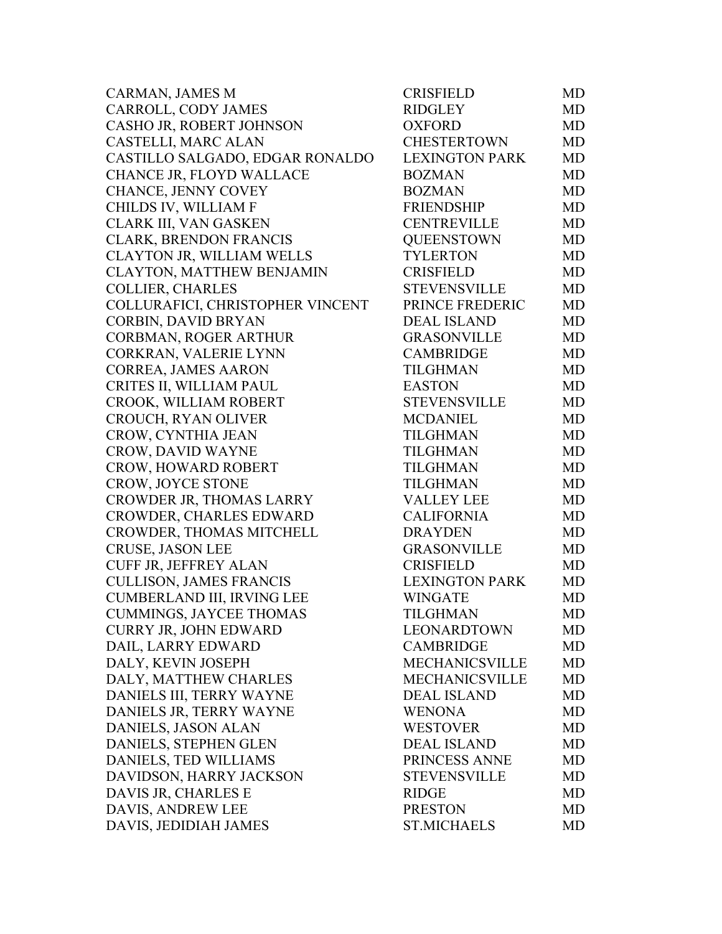| CARMAN, JAMES M                  | <b>CRISFIELD</b>      | MD        |
|----------------------------------|-----------------------|-----------|
| CARROLL, CODY JAMES              | <b>RIDGLEY</b>        | MD        |
| CASHO JR, ROBERT JOHNSON         | <b>OXFORD</b>         | MD        |
| CASTELLI, MARC ALAN              | <b>CHESTERTOWN</b>    | <b>MD</b> |
| CASTILLO SALGADO, EDGAR RONALDO  | <b>LEXINGTON PARK</b> | <b>MD</b> |
| CHANCE JR, FLOYD WALLACE         | <b>BOZMAN</b>         | MD        |
| CHANCE, JENNY COVEY              | <b>BOZMAN</b>         | MD        |
| CHILDS IV, WILLIAM F             | <b>FRIENDSHIP</b>     | MD        |
| CLARK III, VAN GASKEN            | <b>CENTREVILLE</b>    | MD        |
| <b>CLARK, BRENDON FRANCIS</b>    | <b>QUEENSTOWN</b>     | MD        |
| CLAYTON JR, WILLIAM WELLS        | <b>TYLERTON</b>       | MD        |
| CLAYTON, MATTHEW BENJAMIN        | <b>CRISFIELD</b>      | MD        |
| <b>COLLIER, CHARLES</b>          | <b>STEVENSVILLE</b>   | MD        |
| COLLURAFICI, CHRISTOPHER VINCENT | PRINCE FREDERIC       | MD        |
| CORBIN, DAVID BRYAN              | <b>DEAL ISLAND</b>    | MD        |
| CORBMAN, ROGER ARTHUR            | <b>GRASONVILLE</b>    | MD        |
| CORKRAN, VALERIE LYNN            | <b>CAMBRIDGE</b>      | MD        |
| <b>CORREA, JAMES AARON</b>       | <b>TILGHMAN</b>       | MD        |
| CRITES II, WILLIAM PAUL          | <b>EASTON</b>         | MD        |
| CROOK, WILLIAM ROBERT            | <b>STEVENSVILLE</b>   | MD        |
| CROUCH, RYAN OLIVER              | <b>MCDANIEL</b>       | MD        |
| CROW, CYNTHIA JEAN               | <b>TILGHMAN</b>       | MD        |
| <b>CROW, DAVID WAYNE</b>         | <b>TILGHMAN</b>       | MD        |
| CROW, HOWARD ROBERT              | <b>TILGHMAN</b>       | <b>MD</b> |
| CROW, JOYCE STONE                | <b>TILGHMAN</b>       | MD        |
| CROWDER JR, THOMAS LARRY         | <b>VALLEY LEE</b>     | MD        |
| CROWDER, CHARLES EDWARD          | <b>CALIFORNIA</b>     | MD        |
| CROWDER, THOMAS MITCHELL         | <b>DRAYDEN</b>        | MD        |
| <b>CRUSE, JASON LEE</b>          | <b>GRASONVILLE</b>    | <b>MD</b> |
| <b>CUFF JR, JEFFREY ALAN</b>     | <b>CRISFIELD</b>      | MD        |
| <b>CULLISON, JAMES FRANCIS</b>   | <b>LEXINGTON PARK</b> | <b>MD</b> |
| CUMBERLAND III, IRVING LEE       | <b>WINGATE</b>        | MD        |
| <b>CUMMINGS, JAYCEE THOMAS</b>   | <b>TILGHMAN</b>       | MD        |
| <b>CURRY JR, JOHN EDWARD</b>     | LEONARDTOWN           | MD.       |
| DAIL, LARRY EDWARD               | <b>CAMBRIDGE</b>      | MD        |
| DALY, KEVIN JOSEPH               | <b>MECHANICSVILLE</b> | <b>MD</b> |
| DALY, MATTHEW CHARLES            | <b>MECHANICSVILLE</b> | MD        |
| DANIELS III, TERRY WAYNE         | <b>DEAL ISLAND</b>    | MD        |
| DANIELS JR, TERRY WAYNE          | <b>WENONA</b>         | MD        |
| DANIELS, JASON ALAN              | <b>WESTOVER</b>       | MD        |
| DANIELS, STEPHEN GLEN            | <b>DEAL ISLAND</b>    | MD        |
| DANIELS, TED WILLIAMS            | PRINCESS ANNE         | MD        |
| DAVIDSON, HARRY JACKSON          | <b>STEVENSVILLE</b>   | MD        |
| DAVIS JR, CHARLES E              | <b>RIDGE</b>          | <b>MD</b> |
| DAVIS, ANDREW LEE                | <b>PRESTON</b>        | <b>MD</b> |
| DAVIS, JEDIDIAH JAMES            | <b>ST.MICHAELS</b>    | MD        |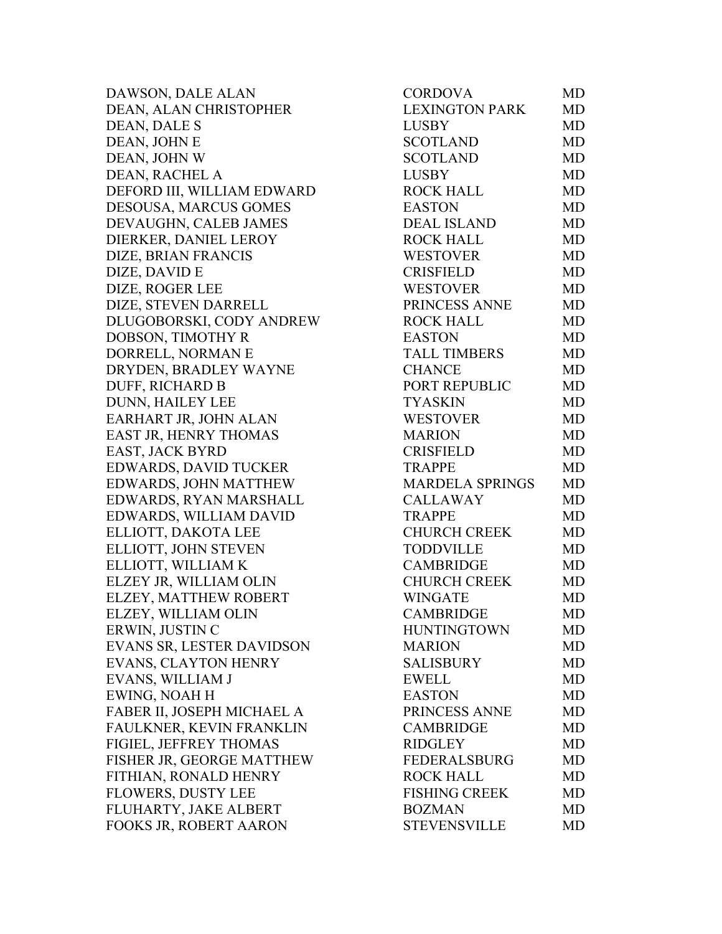DAWSON, DALE ALAN DEAN, ALAN CHRISTOPHER DEAN, DALE S DEAN, JOHN E DEAN, JOHN W DEAN, RACHEL A DEFORD III, WILLIAM EDWARD DESOUSA, MARCUS GOMES DEVAUGHN, CALEB JAMES DIERKER, DANIEL LEROY DIZE, BRIAN FRANCIS DIZE, DAVID E DIZE, ROGER LEE DIZE, STEVEN DARRELL DLUGOBORSKI, CODY ANDREW DOBSON, TIMOTHY R DORRELL, NORMAN E DRYDEN, BRADLEY WAYNE DUFF, RICHARD B DUNN, HAILEY LEE EARHART JR, JOHN ALAN EAST JR, HENRY THOMAS EAST, JACK BYRD EDWARDS, DAVID TUCKER EDWARDS, JOHN MATTHEW EDWARDS, RYAN MARSHALL EDWARDS, WILLIAM DAVID ELLIOTT, DAKOTA LEE ELLIOTT, JOHN STEVEN ELLIOTT, WILLIAM K ELZEY JR, WILLIAM OLIN ELZEY, MATTHEW ROBERT ELZEY, WILLIAM OLIN ERWIN, JUSTIN C EVANS SR, LESTER DAVIDSON EVANS, CLAYTON HENRY EVANS, WILLIAM J EWING, NOAH H FABER II, JOSEPH MICHAEL A FAULKNER, KEVIN FRANKLIN FIGIEL, JEFFREY THOMAS FISHER JR, GEORGE MATTHEW FITHIAN, RONALD HENRY FLOWERS, DUSTY LEE FLUHARTY, JAKE ALBERT FOOKS JR, ROBERT AARON

| <b>LEXINGTON PARK</b><br><b>MD</b><br><b>LUSBY</b><br>MD<br><b>SCOTLAND</b><br><b>MD</b><br><b>SCOTLAND</b><br><b>MD</b><br><b>LUSBY</b><br><b>MD</b><br><b>ROCK HALL</b><br><b>MD</b><br><b>EASTON</b><br>MD<br><b>DEAL ISLAND</b><br><b>MD</b><br><b>ROCK HALL</b><br><b>MD</b><br><b>WESTOVER</b><br><b>MD</b><br><b>CRISFIELD</b><br><b>MD</b><br><b>WESTOVER</b><br><b>MD</b><br>PRINCESS ANNE<br><b>MD</b><br><b>ROCK HALL</b><br><b>MD</b><br><b>EASTON</b><br><b>MD</b><br><b>TALL TIMBERS</b><br><b>MD</b><br><b>CHANCE</b><br><b>MD</b><br>PORT REPUBLIC<br><b>MD</b><br><b>TYASKIN</b><br><b>MD</b><br><b>WESTOVER</b><br><b>MD</b><br><b>MARION</b><br><b>MD</b><br><b>CRISFIELD</b><br><b>MD</b><br><b>TRAPPE</b><br><b>MD</b><br><b>MARDELA SPRINGS</b><br><b>MD</b><br><b>CALLAWAY</b><br><b>MD</b><br><b>TRAPPE</b><br><b>MD</b><br><b>CHURCH CREEK</b><br>MD<br><b>TODDVILLE</b><br><b>MD</b><br><b>CAMBRIDGE</b><br><b>MD</b><br><b>CHURCH CREEK</b><br><b>MD</b><br><b>WINGATE</b><br><b>MD</b><br><b>CAMBRIDGE</b><br>MD<br><b>HUNTINGTOWN</b><br>MD<br><b>MARION</b><br>MD<br><b>SALISBURY</b><br><b>MD</b><br><b>EWELL</b><br><b>MD</b><br><b>MD</b><br><b>EASTON</b><br>PRINCESS ANNE<br><b>MD</b><br><b>MD</b><br><b>CAMBRIDGE</b><br><b>RIDGLEY</b><br><b>MD</b><br><b>FEDERALSBURG</b><br>MD<br><b>ROCK HALL</b><br><b>MD</b><br><b>FISHING CREEK</b><br><b>MD</b><br><b>BOZMAN</b><br><b>MD</b><br><b>STEVENSVILLE</b><br>MD | CORDOVA | MD |
|---------------------------------------------------------------------------------------------------------------------------------------------------------------------------------------------------------------------------------------------------------------------------------------------------------------------------------------------------------------------------------------------------------------------------------------------------------------------------------------------------------------------------------------------------------------------------------------------------------------------------------------------------------------------------------------------------------------------------------------------------------------------------------------------------------------------------------------------------------------------------------------------------------------------------------------------------------------------------------------------------------------------------------------------------------------------------------------------------------------------------------------------------------------------------------------------------------------------------------------------------------------------------------------------------------------------------------------------------------------------------------------------------------------------------------------------------------|---------|----|
|                                                                                                                                                                                                                                                                                                                                                                                                                                                                                                                                                                                                                                                                                                                                                                                                                                                                                                                                                                                                                                                                                                                                                                                                                                                                                                                                                                                                                                                         |         |    |
|                                                                                                                                                                                                                                                                                                                                                                                                                                                                                                                                                                                                                                                                                                                                                                                                                                                                                                                                                                                                                                                                                                                                                                                                                                                                                                                                                                                                                                                         |         |    |
|                                                                                                                                                                                                                                                                                                                                                                                                                                                                                                                                                                                                                                                                                                                                                                                                                                                                                                                                                                                                                                                                                                                                                                                                                                                                                                                                                                                                                                                         |         |    |
|                                                                                                                                                                                                                                                                                                                                                                                                                                                                                                                                                                                                                                                                                                                                                                                                                                                                                                                                                                                                                                                                                                                                                                                                                                                                                                                                                                                                                                                         |         |    |
|                                                                                                                                                                                                                                                                                                                                                                                                                                                                                                                                                                                                                                                                                                                                                                                                                                                                                                                                                                                                                                                                                                                                                                                                                                                                                                                                                                                                                                                         |         |    |
|                                                                                                                                                                                                                                                                                                                                                                                                                                                                                                                                                                                                                                                                                                                                                                                                                                                                                                                                                                                                                                                                                                                                                                                                                                                                                                                                                                                                                                                         |         |    |
|                                                                                                                                                                                                                                                                                                                                                                                                                                                                                                                                                                                                                                                                                                                                                                                                                                                                                                                                                                                                                                                                                                                                                                                                                                                                                                                                                                                                                                                         |         |    |
|                                                                                                                                                                                                                                                                                                                                                                                                                                                                                                                                                                                                                                                                                                                                                                                                                                                                                                                                                                                                                                                                                                                                                                                                                                                                                                                                                                                                                                                         |         |    |
|                                                                                                                                                                                                                                                                                                                                                                                                                                                                                                                                                                                                                                                                                                                                                                                                                                                                                                                                                                                                                                                                                                                                                                                                                                                                                                                                                                                                                                                         |         |    |
|                                                                                                                                                                                                                                                                                                                                                                                                                                                                                                                                                                                                                                                                                                                                                                                                                                                                                                                                                                                                                                                                                                                                                                                                                                                                                                                                                                                                                                                         |         |    |
|                                                                                                                                                                                                                                                                                                                                                                                                                                                                                                                                                                                                                                                                                                                                                                                                                                                                                                                                                                                                                                                                                                                                                                                                                                                                                                                                                                                                                                                         |         |    |
|                                                                                                                                                                                                                                                                                                                                                                                                                                                                                                                                                                                                                                                                                                                                                                                                                                                                                                                                                                                                                                                                                                                                                                                                                                                                                                                                                                                                                                                         |         |    |
|                                                                                                                                                                                                                                                                                                                                                                                                                                                                                                                                                                                                                                                                                                                                                                                                                                                                                                                                                                                                                                                                                                                                                                                                                                                                                                                                                                                                                                                         |         |    |
|                                                                                                                                                                                                                                                                                                                                                                                                                                                                                                                                                                                                                                                                                                                                                                                                                                                                                                                                                                                                                                                                                                                                                                                                                                                                                                                                                                                                                                                         |         |    |
|                                                                                                                                                                                                                                                                                                                                                                                                                                                                                                                                                                                                                                                                                                                                                                                                                                                                                                                                                                                                                                                                                                                                                                                                                                                                                                                                                                                                                                                         |         |    |
|                                                                                                                                                                                                                                                                                                                                                                                                                                                                                                                                                                                                                                                                                                                                                                                                                                                                                                                                                                                                                                                                                                                                                                                                                                                                                                                                                                                                                                                         |         |    |
|                                                                                                                                                                                                                                                                                                                                                                                                                                                                                                                                                                                                                                                                                                                                                                                                                                                                                                                                                                                                                                                                                                                                                                                                                                                                                                                                                                                                                                                         |         |    |
|                                                                                                                                                                                                                                                                                                                                                                                                                                                                                                                                                                                                                                                                                                                                                                                                                                                                                                                                                                                                                                                                                                                                                                                                                                                                                                                                                                                                                                                         |         |    |
|                                                                                                                                                                                                                                                                                                                                                                                                                                                                                                                                                                                                                                                                                                                                                                                                                                                                                                                                                                                                                                                                                                                                                                                                                                                                                                                                                                                                                                                         |         |    |
|                                                                                                                                                                                                                                                                                                                                                                                                                                                                                                                                                                                                                                                                                                                                                                                                                                                                                                                                                                                                                                                                                                                                                                                                                                                                                                                                                                                                                                                         |         |    |
|                                                                                                                                                                                                                                                                                                                                                                                                                                                                                                                                                                                                                                                                                                                                                                                                                                                                                                                                                                                                                                                                                                                                                                                                                                                                                                                                                                                                                                                         |         |    |
|                                                                                                                                                                                                                                                                                                                                                                                                                                                                                                                                                                                                                                                                                                                                                                                                                                                                                                                                                                                                                                                                                                                                                                                                                                                                                                                                                                                                                                                         |         |    |
|                                                                                                                                                                                                                                                                                                                                                                                                                                                                                                                                                                                                                                                                                                                                                                                                                                                                                                                                                                                                                                                                                                                                                                                                                                                                                                                                                                                                                                                         |         |    |
|                                                                                                                                                                                                                                                                                                                                                                                                                                                                                                                                                                                                                                                                                                                                                                                                                                                                                                                                                                                                                                                                                                                                                                                                                                                                                                                                                                                                                                                         |         |    |
|                                                                                                                                                                                                                                                                                                                                                                                                                                                                                                                                                                                                                                                                                                                                                                                                                                                                                                                                                                                                                                                                                                                                                                                                                                                                                                                                                                                                                                                         |         |    |
|                                                                                                                                                                                                                                                                                                                                                                                                                                                                                                                                                                                                                                                                                                                                                                                                                                                                                                                                                                                                                                                                                                                                                                                                                                                                                                                                                                                                                                                         |         |    |
|                                                                                                                                                                                                                                                                                                                                                                                                                                                                                                                                                                                                                                                                                                                                                                                                                                                                                                                                                                                                                                                                                                                                                                                                                                                                                                                                                                                                                                                         |         |    |
|                                                                                                                                                                                                                                                                                                                                                                                                                                                                                                                                                                                                                                                                                                                                                                                                                                                                                                                                                                                                                                                                                                                                                                                                                                                                                                                                                                                                                                                         |         |    |
|                                                                                                                                                                                                                                                                                                                                                                                                                                                                                                                                                                                                                                                                                                                                                                                                                                                                                                                                                                                                                                                                                                                                                                                                                                                                                                                                                                                                                                                         |         |    |
|                                                                                                                                                                                                                                                                                                                                                                                                                                                                                                                                                                                                                                                                                                                                                                                                                                                                                                                                                                                                                                                                                                                                                                                                                                                                                                                                                                                                                                                         |         |    |
|                                                                                                                                                                                                                                                                                                                                                                                                                                                                                                                                                                                                                                                                                                                                                                                                                                                                                                                                                                                                                                                                                                                                                                                                                                                                                                                                                                                                                                                         |         |    |
|                                                                                                                                                                                                                                                                                                                                                                                                                                                                                                                                                                                                                                                                                                                                                                                                                                                                                                                                                                                                                                                                                                                                                                                                                                                                                                                                                                                                                                                         |         |    |
|                                                                                                                                                                                                                                                                                                                                                                                                                                                                                                                                                                                                                                                                                                                                                                                                                                                                                                                                                                                                                                                                                                                                                                                                                                                                                                                                                                                                                                                         |         |    |
|                                                                                                                                                                                                                                                                                                                                                                                                                                                                                                                                                                                                                                                                                                                                                                                                                                                                                                                                                                                                                                                                                                                                                                                                                                                                                                                                                                                                                                                         |         |    |
|                                                                                                                                                                                                                                                                                                                                                                                                                                                                                                                                                                                                                                                                                                                                                                                                                                                                                                                                                                                                                                                                                                                                                                                                                                                                                                                                                                                                                                                         |         |    |
|                                                                                                                                                                                                                                                                                                                                                                                                                                                                                                                                                                                                                                                                                                                                                                                                                                                                                                                                                                                                                                                                                                                                                                                                                                                                                                                                                                                                                                                         |         |    |
|                                                                                                                                                                                                                                                                                                                                                                                                                                                                                                                                                                                                                                                                                                                                                                                                                                                                                                                                                                                                                                                                                                                                                                                                                                                                                                                                                                                                                                                         |         |    |
|                                                                                                                                                                                                                                                                                                                                                                                                                                                                                                                                                                                                                                                                                                                                                                                                                                                                                                                                                                                                                                                                                                                                                                                                                                                                                                                                                                                                                                                         |         |    |
|                                                                                                                                                                                                                                                                                                                                                                                                                                                                                                                                                                                                                                                                                                                                                                                                                                                                                                                                                                                                                                                                                                                                                                                                                                                                                                                                                                                                                                                         |         |    |
|                                                                                                                                                                                                                                                                                                                                                                                                                                                                                                                                                                                                                                                                                                                                                                                                                                                                                                                                                                                                                                                                                                                                                                                                                                                                                                                                                                                                                                                         |         |    |
|                                                                                                                                                                                                                                                                                                                                                                                                                                                                                                                                                                                                                                                                                                                                                                                                                                                                                                                                                                                                                                                                                                                                                                                                                                                                                                                                                                                                                                                         |         |    |
|                                                                                                                                                                                                                                                                                                                                                                                                                                                                                                                                                                                                                                                                                                                                                                                                                                                                                                                                                                                                                                                                                                                                                                                                                                                                                                                                                                                                                                                         |         |    |
|                                                                                                                                                                                                                                                                                                                                                                                                                                                                                                                                                                                                                                                                                                                                                                                                                                                                                                                                                                                                                                                                                                                                                                                                                                                                                                                                                                                                                                                         |         |    |
|                                                                                                                                                                                                                                                                                                                                                                                                                                                                                                                                                                                                                                                                                                                                                                                                                                                                                                                                                                                                                                                                                                                                                                                                                                                                                                                                                                                                                                                         |         |    |
|                                                                                                                                                                                                                                                                                                                                                                                                                                                                                                                                                                                                                                                                                                                                                                                                                                                                                                                                                                                                                                                                                                                                                                                                                                                                                                                                                                                                                                                         |         |    |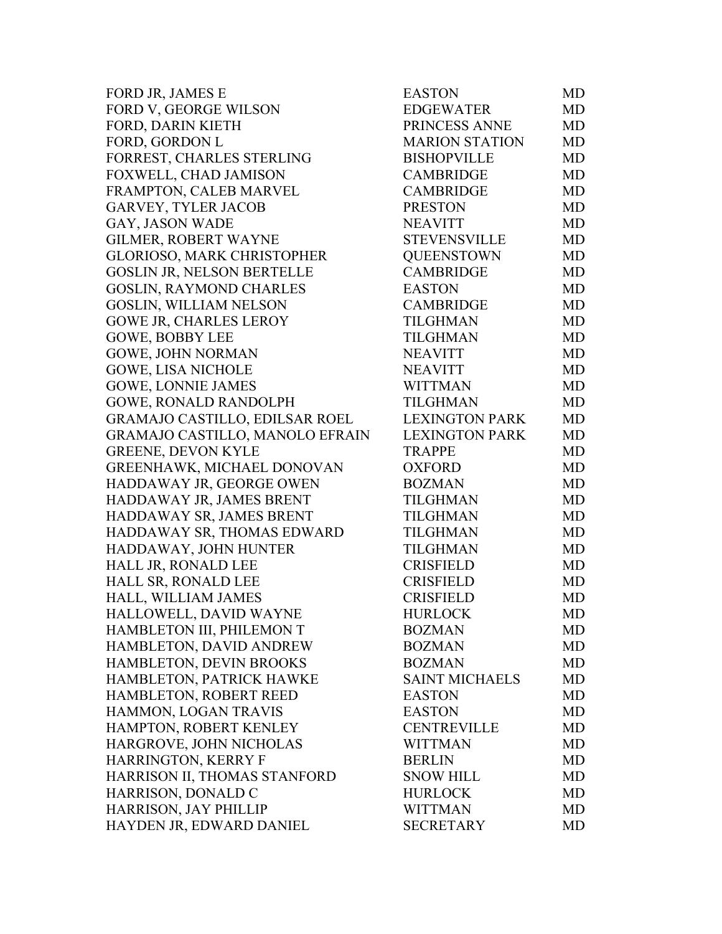| FORD JR, JAMES E                      | <b>EASTON</b>         | MD        |
|---------------------------------------|-----------------------|-----------|
| FORD V, GEORGE WILSON                 | <b>EDGEWATER</b>      | <b>MD</b> |
| FORD, DARIN KIETH                     | PRINCESS ANNE         | <b>MD</b> |
| FORD, GORDON L                        | <b>MARION STATION</b> | <b>MD</b> |
| FORREST, CHARLES STERLING             | <b>BISHOPVILLE</b>    | <b>MD</b> |
| FOXWELL, CHAD JAMISON                 | <b>CAMBRIDGE</b>      | <b>MD</b> |
| FRAMPTON, CALEB MARVEL                | <b>CAMBRIDGE</b>      | <b>MD</b> |
| <b>GARVEY, TYLER JACOB</b>            | <b>PRESTON</b>        | <b>MD</b> |
| GAY, JASON WADE                       | <b>NEAVITT</b>        | <b>MD</b> |
| <b>GILMER, ROBERT WAYNE</b>           | <b>STEVENSVILLE</b>   | MD        |
| <b>GLORIOSO, MARK CHRISTOPHER</b>     | <b>QUEENSTOWN</b>     | MD        |
| GOSLIN JR, NELSON BERTELLE            | <b>CAMBRIDGE</b>      | <b>MD</b> |
| GOSLIN, RAYMOND CHARLES               | <b>EASTON</b>         | <b>MD</b> |
| GOSLIN, WILLIAM NELSON                | <b>CAMBRIDGE</b>      | <b>MD</b> |
| GOWE JR, CHARLES LEROY                | <b>TILGHMAN</b>       | <b>MD</b> |
| <b>GOWE, BOBBY LEE</b>                | <b>TILGHMAN</b>       | <b>MD</b> |
| <b>GOWE, JOHN NORMAN</b>              | <b>NEAVITT</b>        | <b>MD</b> |
| <b>GOWE, LISA NICHOLE</b>             | <b>NEAVITT</b>        | <b>MD</b> |
| <b>GOWE, LONNIE JAMES</b>             | <b>WITTMAN</b>        | <b>MD</b> |
| <b>GOWE, RONALD RANDOLPH</b>          | <b>TILGHMAN</b>       | <b>MD</b> |
| <b>GRAMAJO CASTILLO, EDILSAR ROEL</b> | <b>LEXINGTON PARK</b> | <b>MD</b> |
| GRAMAJO CASTILLO, MANOLO EFRAIN       | <b>LEXINGTON PARK</b> | <b>MD</b> |
| <b>GREENE, DEVON KYLE</b>             | <b>TRAPPE</b>         | MD        |
| GREENHAWK, MICHAEL DONOVAN            | <b>OXFORD</b>         | <b>MD</b> |
| HADDAWAY JR, GEORGE OWEN              | <b>BOZMAN</b>         | <b>MD</b> |
| HADDAWAY JR, JAMES BRENT              | <b>TILGHMAN</b>       | <b>MD</b> |
| HADDAWAY SR, JAMES BRENT              | <b>TILGHMAN</b>       | <b>MD</b> |
| HADDAWAY SR, THOMAS EDWARD            | <b>TILGHMAN</b>       | <b>MD</b> |
| HADDAWAY, JOHN HUNTER                 | <b>TILGHMAN</b>       | <b>MD</b> |
| HALL JR, RONALD LEE                   | <b>CRISFIELD</b>      | MD        |
| HALL SR, RONALD LEE                   | <b>CRISFIELD</b>      | MD        |
| HALL, WILLIAM JAMES                   | <b>CRISFIELD</b>      | MD        |
| HALLOWELL, DAVID WAYNE                | <b>HURLOCK</b>        | MD        |
| HAMBLETON III, PHILEMON T             | <b>BOZMAN</b>         | MD        |
| HAMBLETON, DAVID ANDREW               | <b>BOZMAN</b>         | MD        |
| HAMBLETON, DEVIN BROOKS               | <b>BOZMAN</b>         | <b>MD</b> |
| HAMBLETON, PATRICK HAWKE              | <b>SAINT MICHAELS</b> | MD        |
| HAMBLETON, ROBERT REED                | <b>EASTON</b>         | MD        |
| HAMMON, LOGAN TRAVIS                  | <b>EASTON</b>         | <b>MD</b> |
| HAMPTON, ROBERT KENLEY                | <b>CENTREVILLE</b>    | MD        |
| HARGROVE, JOHN NICHOLAS               | <b>WITTMAN</b>        | MD        |
| <b>HARRINGTON, KERRY F</b>            | <b>BERLIN</b>         | <b>MD</b> |
| HARRISON II, THOMAS STANFORD          | <b>SNOW HILL</b>      | <b>MD</b> |
| HARRISON, DONALD C                    | <b>HURLOCK</b>        | MD        |
| <b>HARRISON, JAY PHILLIP</b>          | <b>WITTMAN</b>        | <b>MD</b> |
| HAYDEN JR, EDWARD DANIEL              | <b>SECRETARY</b>      | <b>MD</b> |
|                                       |                       |           |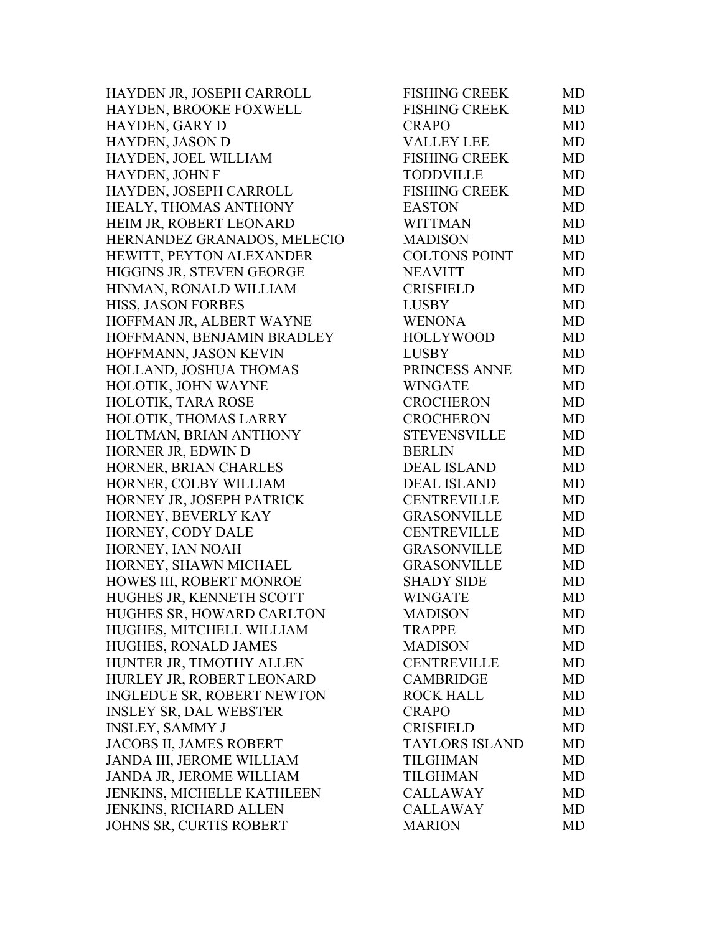HAYDEN JR, JOSEPH CARROLL HAYDEN, BROOKE FOXWELL HAYDEN, GARY D HAYDEN, JASON D HAYDEN, JOEL WILLIAM HAYDEN, JOHN F HAYDEN, JOSEPH CARROLL HEALY, THOMAS ANTHONY HEIM JR, ROBERT LEONARD HERNANDEZ GRANADOS, MELECIO HEWITT, PEYTON ALEXANDER HIGGINS JR, STEVEN GEORGE HINMAN, RONALD WILLIAM HISS, JASON FORBES HOFFMAN JR, ALBERT WAYNE HOFFMANN, BENJAMIN BRADLEY HOFFMANN, JASON KEVIN HOLLAND, JOSHUA THOMAS HOLOTIK, JOHN WAYNE HOLOTIK, TARA ROSE HOLOTIK, THOMAS LARRY HOLTMAN, BRIAN ANTHONY HORNER JR, EDWIN D HORNER, BRIAN CHARLES HORNER, COLBY WILLIAM HORNEY JR, JOSEPH PATRICK HORNEY, BEVERLY KAY HORNEY, CODY DALE HORNEY, IAN NOAH HORNEY, SHAWN MICHAEL HOWES III, ROBERT MONROE HUGHES JR, KENNETH SCOTT HUGHES SR, HOWARD CARLTON HUGHES, MITCHELL WILLIAM HUGHES, RONALD JAMES HUNTER JR, TIMOTHY ALLEN HURLEY JR, ROBERT LEONARD INGLEDUE SR, ROBERT NEWTON INSLEY SR, DAL WEBSTER INSLEY, SAMMY J JACOBS II, JAMES ROBERT JANDA III, JEROME WILLIAM JANDA JR, JEROME WILLIAM JENKINS, MICHELLE KATHLEEN JENKINS, RICHARD ALLEN JOHNS SR, CURTIS ROBERT

| <b>FISHING CREEK</b><br><b>MD</b><br><b>CRAPO</b><br><b>MD</b><br><b>VALLEY LEE</b><br><b>MD</b><br><b>FISHING CREEK</b><br><b>MD</b><br><b>TODDVILLE</b><br><b>MD</b><br><b>FISHING CREEK</b><br><b>MD</b><br><b>EASTON</b><br><b>MD</b><br><b>WITTMAN</b><br>MD<br><b>MADISON</b><br><b>MD</b><br><b>COLTONS POINT</b><br><b>MD</b><br><b>NEAVITT</b><br><b>MD</b><br><b>CRISFIELD</b><br><b>MD</b><br><b>LUSBY</b><br><b>MD</b><br><b>WENONA</b><br><b>MD</b><br><b>HOLLYWOOD</b><br><b>MD</b><br><b>LUSBY</b><br><b>MD</b><br>PRINCESS ANNE<br><b>MD</b><br><b>WINGATE</b><br><b>MD</b><br><b>CROCHERON</b><br><b>MD</b><br><b>CROCHERON</b><br><b>MD</b><br><b>STEVENSVILLE</b><br><b>MD</b><br><b>BERLIN</b><br><b>MD</b><br><b>DEAL ISLAND</b><br><b>MD</b><br><b>DEAL ISLAND</b><br><b>MD</b><br><b>CENTREVILLE</b><br><b>MD</b><br><b>GRASONVILLE</b><br><b>MD</b><br><b>CENTREVILLE</b><br><b>MD</b><br><b>GRASONVILLE</b><br><b>MD</b><br><b>GRASONVILLE</b><br><b>MD</b><br><b>SHADY SIDE</b><br><b>MD</b><br><b>WINGATE</b><br><b>MD</b><br><b>MADISON</b><br>MD<br><b>TRAPPE</b><br>MD<br><b>MADISON</b><br><b>MD</b><br><b>CENTREVILLE</b><br>MD<br><b>CAMBRIDGE</b><br>MD<br><b>ROCK HALL</b><br><b>MD</b><br>CRAPO<br>MD<br><b>CRISFIELD</b><br><b>MD</b><br><b>TAYLORS ISLAND</b><br><b>MD</b><br><b>TILGHMAN</b><br>MD<br><b>TILGHMAN</b><br><b>MD</b><br><b>CALLAWAY</b><br><b>MD</b><br><b>CALLAWAY</b><br><b>MD</b><br><b>MARION</b><br>MD | <b>FISHING CREEK</b> | MD |
|------------------------------------------------------------------------------------------------------------------------------------------------------------------------------------------------------------------------------------------------------------------------------------------------------------------------------------------------------------------------------------------------------------------------------------------------------------------------------------------------------------------------------------------------------------------------------------------------------------------------------------------------------------------------------------------------------------------------------------------------------------------------------------------------------------------------------------------------------------------------------------------------------------------------------------------------------------------------------------------------------------------------------------------------------------------------------------------------------------------------------------------------------------------------------------------------------------------------------------------------------------------------------------------------------------------------------------------------------------------------------------------------------------------------------------------------------------------|----------------------|----|
|                                                                                                                                                                                                                                                                                                                                                                                                                                                                                                                                                                                                                                                                                                                                                                                                                                                                                                                                                                                                                                                                                                                                                                                                                                                                                                                                                                                                                                                                  |                      |    |
|                                                                                                                                                                                                                                                                                                                                                                                                                                                                                                                                                                                                                                                                                                                                                                                                                                                                                                                                                                                                                                                                                                                                                                                                                                                                                                                                                                                                                                                                  |                      |    |
|                                                                                                                                                                                                                                                                                                                                                                                                                                                                                                                                                                                                                                                                                                                                                                                                                                                                                                                                                                                                                                                                                                                                                                                                                                                                                                                                                                                                                                                                  |                      |    |
|                                                                                                                                                                                                                                                                                                                                                                                                                                                                                                                                                                                                                                                                                                                                                                                                                                                                                                                                                                                                                                                                                                                                                                                                                                                                                                                                                                                                                                                                  |                      |    |
|                                                                                                                                                                                                                                                                                                                                                                                                                                                                                                                                                                                                                                                                                                                                                                                                                                                                                                                                                                                                                                                                                                                                                                                                                                                                                                                                                                                                                                                                  |                      |    |
|                                                                                                                                                                                                                                                                                                                                                                                                                                                                                                                                                                                                                                                                                                                                                                                                                                                                                                                                                                                                                                                                                                                                                                                                                                                                                                                                                                                                                                                                  |                      |    |
|                                                                                                                                                                                                                                                                                                                                                                                                                                                                                                                                                                                                                                                                                                                                                                                                                                                                                                                                                                                                                                                                                                                                                                                                                                                                                                                                                                                                                                                                  |                      |    |
|                                                                                                                                                                                                                                                                                                                                                                                                                                                                                                                                                                                                                                                                                                                                                                                                                                                                                                                                                                                                                                                                                                                                                                                                                                                                                                                                                                                                                                                                  |                      |    |
|                                                                                                                                                                                                                                                                                                                                                                                                                                                                                                                                                                                                                                                                                                                                                                                                                                                                                                                                                                                                                                                                                                                                                                                                                                                                                                                                                                                                                                                                  |                      |    |
|                                                                                                                                                                                                                                                                                                                                                                                                                                                                                                                                                                                                                                                                                                                                                                                                                                                                                                                                                                                                                                                                                                                                                                                                                                                                                                                                                                                                                                                                  |                      |    |
|                                                                                                                                                                                                                                                                                                                                                                                                                                                                                                                                                                                                                                                                                                                                                                                                                                                                                                                                                                                                                                                                                                                                                                                                                                                                                                                                                                                                                                                                  |                      |    |
|                                                                                                                                                                                                                                                                                                                                                                                                                                                                                                                                                                                                                                                                                                                                                                                                                                                                                                                                                                                                                                                                                                                                                                                                                                                                                                                                                                                                                                                                  |                      |    |
|                                                                                                                                                                                                                                                                                                                                                                                                                                                                                                                                                                                                                                                                                                                                                                                                                                                                                                                                                                                                                                                                                                                                                                                                                                                                                                                                                                                                                                                                  |                      |    |
|                                                                                                                                                                                                                                                                                                                                                                                                                                                                                                                                                                                                                                                                                                                                                                                                                                                                                                                                                                                                                                                                                                                                                                                                                                                                                                                                                                                                                                                                  |                      |    |
|                                                                                                                                                                                                                                                                                                                                                                                                                                                                                                                                                                                                                                                                                                                                                                                                                                                                                                                                                                                                                                                                                                                                                                                                                                                                                                                                                                                                                                                                  |                      |    |
|                                                                                                                                                                                                                                                                                                                                                                                                                                                                                                                                                                                                                                                                                                                                                                                                                                                                                                                                                                                                                                                                                                                                                                                                                                                                                                                                                                                                                                                                  |                      |    |
|                                                                                                                                                                                                                                                                                                                                                                                                                                                                                                                                                                                                                                                                                                                                                                                                                                                                                                                                                                                                                                                                                                                                                                                                                                                                                                                                                                                                                                                                  |                      |    |
|                                                                                                                                                                                                                                                                                                                                                                                                                                                                                                                                                                                                                                                                                                                                                                                                                                                                                                                                                                                                                                                                                                                                                                                                                                                                                                                                                                                                                                                                  |                      |    |
|                                                                                                                                                                                                                                                                                                                                                                                                                                                                                                                                                                                                                                                                                                                                                                                                                                                                                                                                                                                                                                                                                                                                                                                                                                                                                                                                                                                                                                                                  |                      |    |
|                                                                                                                                                                                                                                                                                                                                                                                                                                                                                                                                                                                                                                                                                                                                                                                                                                                                                                                                                                                                                                                                                                                                                                                                                                                                                                                                                                                                                                                                  |                      |    |
|                                                                                                                                                                                                                                                                                                                                                                                                                                                                                                                                                                                                                                                                                                                                                                                                                                                                                                                                                                                                                                                                                                                                                                                                                                                                                                                                                                                                                                                                  |                      |    |
|                                                                                                                                                                                                                                                                                                                                                                                                                                                                                                                                                                                                                                                                                                                                                                                                                                                                                                                                                                                                                                                                                                                                                                                                                                                                                                                                                                                                                                                                  |                      |    |
|                                                                                                                                                                                                                                                                                                                                                                                                                                                                                                                                                                                                                                                                                                                                                                                                                                                                                                                                                                                                                                                                                                                                                                                                                                                                                                                                                                                                                                                                  |                      |    |
|                                                                                                                                                                                                                                                                                                                                                                                                                                                                                                                                                                                                                                                                                                                                                                                                                                                                                                                                                                                                                                                                                                                                                                                                                                                                                                                                                                                                                                                                  |                      |    |
|                                                                                                                                                                                                                                                                                                                                                                                                                                                                                                                                                                                                                                                                                                                                                                                                                                                                                                                                                                                                                                                                                                                                                                                                                                                                                                                                                                                                                                                                  |                      |    |
|                                                                                                                                                                                                                                                                                                                                                                                                                                                                                                                                                                                                                                                                                                                                                                                                                                                                                                                                                                                                                                                                                                                                                                                                                                                                                                                                                                                                                                                                  |                      |    |
|                                                                                                                                                                                                                                                                                                                                                                                                                                                                                                                                                                                                                                                                                                                                                                                                                                                                                                                                                                                                                                                                                                                                                                                                                                                                                                                                                                                                                                                                  |                      |    |
|                                                                                                                                                                                                                                                                                                                                                                                                                                                                                                                                                                                                                                                                                                                                                                                                                                                                                                                                                                                                                                                                                                                                                                                                                                                                                                                                                                                                                                                                  |                      |    |
|                                                                                                                                                                                                                                                                                                                                                                                                                                                                                                                                                                                                                                                                                                                                                                                                                                                                                                                                                                                                                                                                                                                                                                                                                                                                                                                                                                                                                                                                  |                      |    |
|                                                                                                                                                                                                                                                                                                                                                                                                                                                                                                                                                                                                                                                                                                                                                                                                                                                                                                                                                                                                                                                                                                                                                                                                                                                                                                                                                                                                                                                                  |                      |    |
|                                                                                                                                                                                                                                                                                                                                                                                                                                                                                                                                                                                                                                                                                                                                                                                                                                                                                                                                                                                                                                                                                                                                                                                                                                                                                                                                                                                                                                                                  |                      |    |
|                                                                                                                                                                                                                                                                                                                                                                                                                                                                                                                                                                                                                                                                                                                                                                                                                                                                                                                                                                                                                                                                                                                                                                                                                                                                                                                                                                                                                                                                  |                      |    |
|                                                                                                                                                                                                                                                                                                                                                                                                                                                                                                                                                                                                                                                                                                                                                                                                                                                                                                                                                                                                                                                                                                                                                                                                                                                                                                                                                                                                                                                                  |                      |    |
|                                                                                                                                                                                                                                                                                                                                                                                                                                                                                                                                                                                                                                                                                                                                                                                                                                                                                                                                                                                                                                                                                                                                                                                                                                                                                                                                                                                                                                                                  |                      |    |
|                                                                                                                                                                                                                                                                                                                                                                                                                                                                                                                                                                                                                                                                                                                                                                                                                                                                                                                                                                                                                                                                                                                                                                                                                                                                                                                                                                                                                                                                  |                      |    |
|                                                                                                                                                                                                                                                                                                                                                                                                                                                                                                                                                                                                                                                                                                                                                                                                                                                                                                                                                                                                                                                                                                                                                                                                                                                                                                                                                                                                                                                                  |                      |    |
|                                                                                                                                                                                                                                                                                                                                                                                                                                                                                                                                                                                                                                                                                                                                                                                                                                                                                                                                                                                                                                                                                                                                                                                                                                                                                                                                                                                                                                                                  |                      |    |
|                                                                                                                                                                                                                                                                                                                                                                                                                                                                                                                                                                                                                                                                                                                                                                                                                                                                                                                                                                                                                                                                                                                                                                                                                                                                                                                                                                                                                                                                  |                      |    |
|                                                                                                                                                                                                                                                                                                                                                                                                                                                                                                                                                                                                                                                                                                                                                                                                                                                                                                                                                                                                                                                                                                                                                                                                                                                                                                                                                                                                                                                                  |                      |    |
|                                                                                                                                                                                                                                                                                                                                                                                                                                                                                                                                                                                                                                                                                                                                                                                                                                                                                                                                                                                                                                                                                                                                                                                                                                                                                                                                                                                                                                                                  |                      |    |
|                                                                                                                                                                                                                                                                                                                                                                                                                                                                                                                                                                                                                                                                                                                                                                                                                                                                                                                                                                                                                                                                                                                                                                                                                                                                                                                                                                                                                                                                  |                      |    |
|                                                                                                                                                                                                                                                                                                                                                                                                                                                                                                                                                                                                                                                                                                                                                                                                                                                                                                                                                                                                                                                                                                                                                                                                                                                                                                                                                                                                                                                                  |                      |    |
|                                                                                                                                                                                                                                                                                                                                                                                                                                                                                                                                                                                                                                                                                                                                                                                                                                                                                                                                                                                                                                                                                                                                                                                                                                                                                                                                                                                                                                                                  |                      |    |
|                                                                                                                                                                                                                                                                                                                                                                                                                                                                                                                                                                                                                                                                                                                                                                                                                                                                                                                                                                                                                                                                                                                                                                                                                                                                                                                                                                                                                                                                  |                      |    |
|                                                                                                                                                                                                                                                                                                                                                                                                                                                                                                                                                                                                                                                                                                                                                                                                                                                                                                                                                                                                                                                                                                                                                                                                                                                                                                                                                                                                                                                                  |                      |    |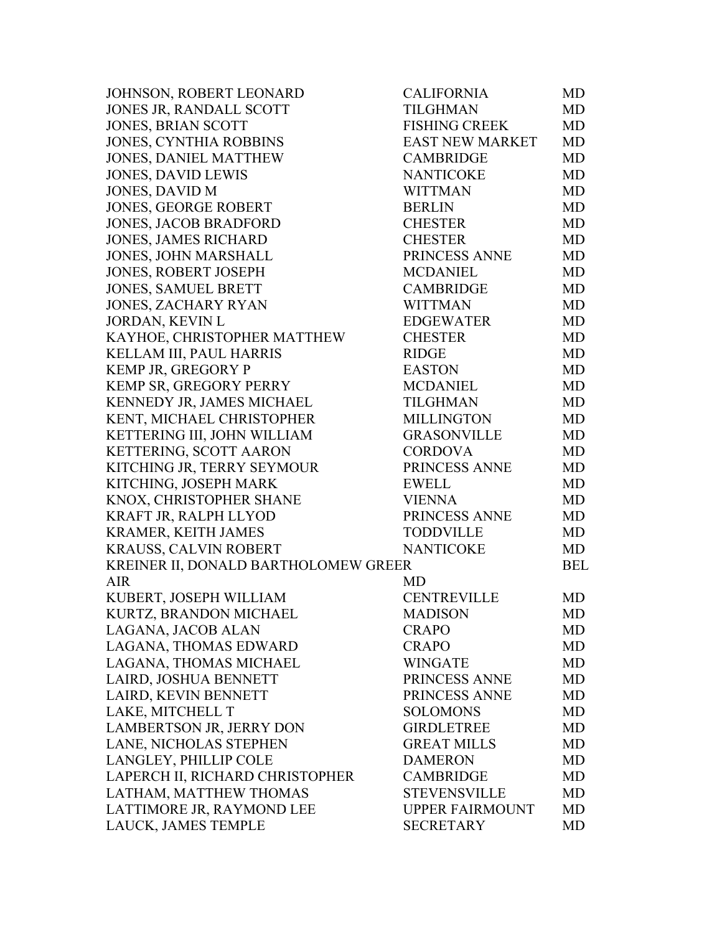| JOHNSON, ROBERT LEONARD              | <b>CALIFORNIA</b>      | MD         |
|--------------------------------------|------------------------|------------|
| JONES JR, RANDALL SCOTT              | <b>TILGHMAN</b>        | MD         |
| <b>JONES, BRIAN SCOTT</b>            | <b>FISHING CREEK</b>   | MD         |
| JONES, CYNTHIA ROBBINS               | <b>EAST NEW MARKET</b> | <b>MD</b>  |
| <b>JONES, DANIEL MATTHEW</b>         | <b>CAMBRIDGE</b>       | MD         |
| <b>JONES, DAVID LEWIS</b>            | <b>NANTICOKE</b>       | MD         |
| <b>JONES, DAVID M</b>                | <b>WITTMAN</b>         | MD         |
| <b>JONES, GEORGE ROBERT</b>          | <b>BERLIN</b>          | MD         |
| <b>JONES, JACOB BRADFORD</b>         | <b>CHESTER</b>         | MD         |
| JONES, JAMES RICHARD                 | <b>CHESTER</b>         | MD         |
| <b>JONES, JOHN MARSHALL</b>          | PRINCESS ANNE          | MD         |
| <b>JONES, ROBERT JOSEPH</b>          | <b>MCDANIEL</b>        | MD         |
| JONES, SAMUEL BRETT                  | <b>CAMBRIDGE</b>       | MD         |
| <b>JONES, ZACHARY RYAN</b>           | <b>WITTMAN</b>         | MD         |
| <b>JORDAN, KEVIN L</b>               | <b>EDGEWATER</b>       | MD         |
| KAYHOE, CHRISTOPHER MATTHEW          | <b>CHESTER</b>         | MD         |
| KELLAM III, PAUL HARRIS              | <b>RIDGE</b>           | <b>MD</b>  |
| KEMP JR, GREGORY P                   | <b>EASTON</b>          | MD         |
| KEMP SR, GREGORY PERRY               | <b>MCDANIEL</b>        | MD         |
| KENNEDY JR, JAMES MICHAEL            | <b>TILGHMAN</b>        | MD         |
| KENT, MICHAEL CHRISTOPHER            | <b>MILLINGTON</b>      | MD         |
| KETTERING III, JOHN WILLIAM          | <b>GRASONVILLE</b>     | MD         |
| KETTERING, SCOTT AARON               | <b>CORDOVA</b>         | MD         |
| KITCHING JR, TERRY SEYMOUR           | PRINCESS ANNE          | MD         |
| KITCHING, JOSEPH MARK                | <b>EWELL</b>           | MD         |
| KNOX, CHRISTOPHER SHANE              | <b>VIENNA</b>          | <b>MD</b>  |
| KRAFT JR, RALPH LLYOD                | PRINCESS ANNE          | <b>MD</b>  |
| KRAMER, KEITH JAMES                  | <b>TODDVILLE</b>       | <b>MD</b>  |
| KRAUSS, CALVIN ROBERT                | <b>NANTICOKE</b>       | MD         |
| KREINER II, DONALD BARTHOLOMEW GREER |                        | <b>BEL</b> |
| <b>AIR</b>                           | MD                     |            |
| KUBERT, JOSEPH WILLIAM               | <b>CENTREVILLE</b>     | MD         |
| KURTZ, BRANDON MICHAEL               | <b>MADISON</b>         | MD         |
| LAGANA, JACOB ALAN                   | <b>CRAPO</b>           | MD         |
| LAGANA, THOMAS EDWARD                | <b>CRAPO</b>           | MD         |
| LAGANA, THOMAS MICHAEL               | <b>WINGATE</b>         | MD         |
| LAIRD, JOSHUA BENNETT                | PRINCESS ANNE          | MD         |
| LAIRD, KEVIN BENNETT                 | PRINCESS ANNE          | MD         |
| LAKE, MITCHELL T                     | <b>SOLOMONS</b>        | MD         |
| LAMBERTSON JR, JERRY DON             | <b>GIRDLETREE</b>      | <b>MD</b>  |
| LANE, NICHOLAS STEPHEN               | <b>GREAT MILLS</b>     | MD         |
| LANGLEY, PHILLIP COLE                | <b>DAMERON</b>         | MD         |
| LAPERCH II, RICHARD CHRISTOPHER      | <b>CAMBRIDGE</b>       | MD         |
| LATHAM, MATTHEW THOMAS               | <b>STEVENSVILLE</b>    | MD         |
| LATTIMORE JR, RAYMOND LEE            | <b>UPPER FAIRMOUNT</b> | MD         |
| LAUCK, JAMES TEMPLE                  | <b>SECRETARY</b>       | MD         |
|                                      |                        |            |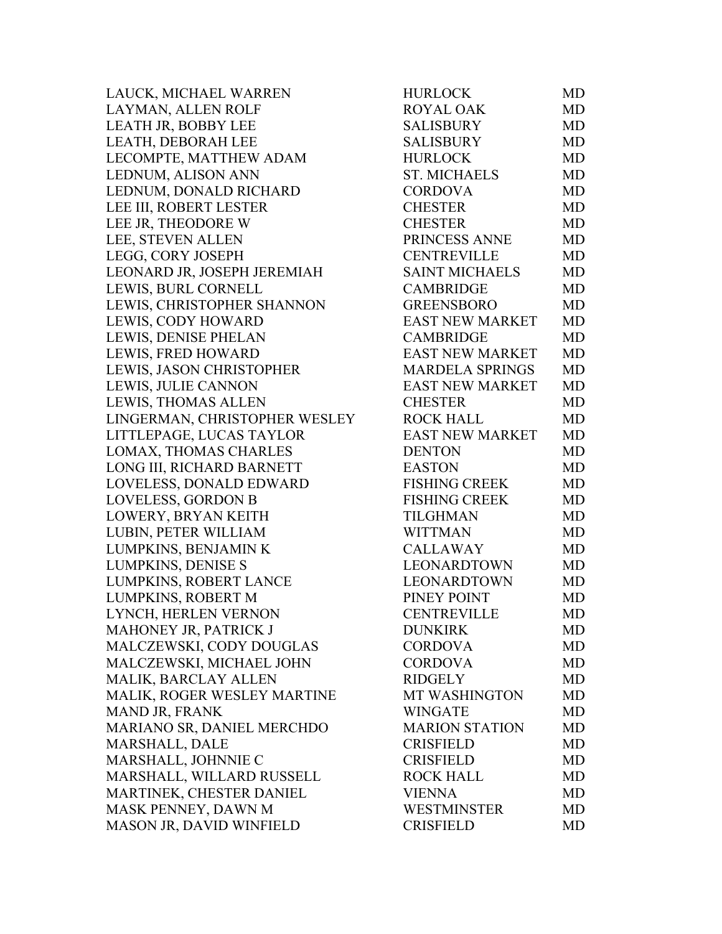LAUCK, MICHAEL WARREN LAYMAN, ALLEN ROLF LEATH JR, BOBBY LEE LEATH, DEBORAH LEE LECOMPTE, MATTHEW ADAM LEDNUM, ALISON ANN LEDNUM, DONALD RICHARD LEE III, ROBERT LESTER LEE JR, THEODORE W LEE, STEVEN ALLEN LEGG, CORY JOSEPH LEONARD JR, JOSEPH JEREMIAH LEWIS, BURL CORNELL LEWIS, CHRISTOPHER SHANNON LEWIS, CODY HOWARD LEWIS, DENISE PHELAN LEWIS, FRED HOWARD LEWIS, JASON CHRISTOPHER LEWIS, JULIE CANNON LEWIS, THOMAS ALLEN LINGERMAN, CHRISTOPHER WESLEY LITTLEPAGE, LUCAS TAYLOR LOMAX, THOMAS CHARLES LONG III, RICHARD BARNETT LOVELESS, DONALD EDWARD LOVELESS, GORDON B LOWERY, BRYAN KEITH LUBIN, PETER WILLIAM LUMPKINS, BENJAMIN K LUMPKINS, DENISE S LUMPKINS, ROBERT LANCE LUMPKINS, ROBERT M LYNCH, HERLEN VERNON MAHONEY JR. PATRICK J MALCZEWSKI, CODY DOUGLAS MALCZEWSKI, MICHAEL JOHN MALIK, BARCLAY ALLEN MALIK, ROGER WESLEY MARTINE MAND JR, FRANK MARIANO SR, DANIEL MERCHDO MARSHALL, DALE MARSHALL, JOHNNIE C MARSHALL, WILLARD RUSSELL MARTINEK, CHESTER DANIEL MASK PENNEY, DAWN M MASON JR, DAVID WINFIELD

| <b>HURLOCK</b>         | MD        |
|------------------------|-----------|
| <b>ROYAL OAK</b>       | <b>MD</b> |
| <b>SALISBURY</b>       | <b>MD</b> |
| <b>SALISBURY</b>       | <b>MD</b> |
| <b>HURLOCK</b>         | <b>MD</b> |
| <b>ST. MICHAELS</b>    | <b>MD</b> |
| <b>CORDOVA</b>         | <b>MD</b> |
| <b>CHESTER</b>         | <b>MD</b> |
| <b>CHESTER</b>         | MD        |
| PRINCESS ANNE          | <b>MD</b> |
| <b>CENTREVILLE</b>     | <b>MD</b> |
| <b>SAINT MICHAELS</b>  | MD        |
| <b>CAMBRIDGE</b>       | <b>MD</b> |
| <b>GREENSBORO</b>      | <b>MD</b> |
| <b>EAST NEW MARKET</b> | <b>MD</b> |
| <b>CAMBRIDGE</b>       | <b>MD</b> |
| <b>EAST NEW MARKET</b> | MD        |
| <b>MARDELA SPRINGS</b> | <b>MD</b> |
| <b>EAST NEW MARKET</b> | <b>MD</b> |
| <b>CHESTER</b>         | <b>MD</b> |
| <b>ROCK HALL</b>       | <b>MD</b> |
| <b>EAST NEW MARKET</b> | <b>MD</b> |
| <b>DENTON</b>          | <b>MD</b> |
| <b>EASTON</b>          | <b>MD</b> |
| <b>FISHING CREEK</b>   | <b>MD</b> |
| <b>FISHING CREEK</b>   | <b>MD</b> |
| <b>TILGHMAN</b>        | <b>MD</b> |
| <b>WITTMAN</b>         | <b>MD</b> |
| <b>CALLAWAY</b>        | MD        |
| <b>LEONARDTOWN</b>     | <b>MD</b> |
| <b>LEONARDTOWN</b>     | MD        |
| PINEY POINT            | <b>MD</b> |
| <b>CENTREVILLE</b>     | MD        |
| <b>DUNKIRK</b>         | <b>MD</b> |
| <b>CORDOVA</b>         | MD        |
| <b>CORDOVA</b>         | <b>MD</b> |
| <b>RIDGELY</b>         | <b>MD</b> |
| MT WASHINGTON          | MD        |
| <b>WINGATE</b>         | <b>MD</b> |
| <b>MARION STATION</b>  | <b>MD</b> |
| <b>CRISFIELD</b>       | <b>MD</b> |
| <b>CRISFIELD</b>       | MD        |
| <b>ROCK HALL</b>       | <b>MD</b> |
| <b>VIENNA</b>          | MD        |
| <b>WESTMINSTER</b>     | MD        |
| <b>CRISFIELD</b>       | MD        |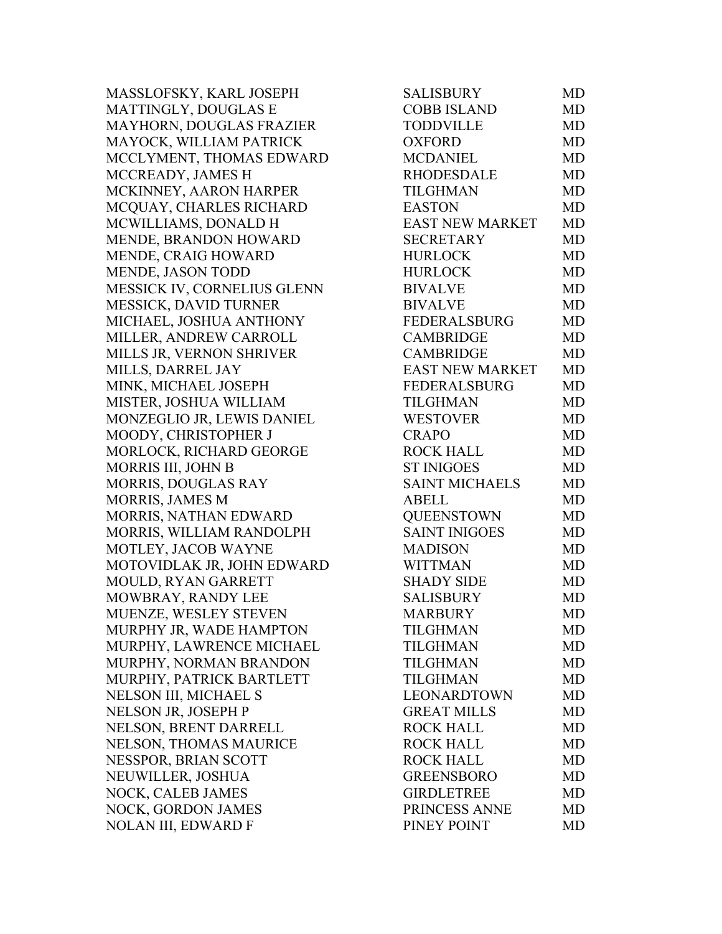MASSLOFSKY, KARL JOSEPH MATTINGLY, DOUGLAS E MAYHORN, DOUGLAS FRAZIER MAYOCK, WILLIAM PATRICK MCCLYMENT, THOMAS EDWARD MCCREADY, JAMES H MCKINNEY, AARON HARPER MCQUAY, CHARLES RICHARD MCWILLIAMS, DONALD H MENDE, BRANDON HOWARD MENDE, CRAIG HOWARD MENDE, JASON TODD MESSICK IV, CORNELIUS GLENN MESSICK, DAVID TURNER MICHAEL, JOSHUA ANTHONY MILLER, ANDREW CARROLL MILLS JR, VERNON SHRIVER MILLS, DARREL JAY MINK, MICHAEL JOSEPH MISTER, JOSHUA WILLIAM MONZEGLIO JR, LEWIS DANIEL MOODY, CHRISTOPHER J MORLOCK, RICHARD GEORGE MORRIS III, JOHN B MORRIS, DOUGLAS RAY MORRIS, JAMES M MORRIS, NATHAN EDWARD MORRIS, WILLIAM RANDOLPH MOTLEY, JACOB WAYNE MOTOVIDLAK JR, JOHN EDWARD MOULD, RYAN GARRETT MOWBRAY, RANDY LEE MUENZE, WESLEY STEVEN MURPHY JR, WADE HAMPTON MURPHY, LAWRENCE MICHAEL MURPHY, NORMAN BRANDON MURPHY, PATRICK BARTLETT NELSON III, MICHAEL S NELSON JR, JOSEPH P NELSON, BRENT DARRELL NELSON, THOMAS MAURICE NESSPOR, BRIAN SCOTT NEUWILLER, JOSHUA NOCK, CALEB JAMES NOCK, GORDON JAMES NOLAN III, EDWARD F

| <b>SALISBURY</b>       | MD        |
|------------------------|-----------|
| <b>COBB ISLAND</b>     | <b>MD</b> |
| <b>TODDVILLE</b>       | <b>MD</b> |
| <b>OXFORD</b>          | <b>MD</b> |
| <b>MCDANIEL</b>        | <b>MD</b> |
| <b>RHODESDALE</b>      | <b>MD</b> |
| <b>TILGHMAN</b>        | <b>MD</b> |
| <b>EASTON</b>          | <b>MD</b> |
| EAST NEW MARKET        | <b>MD</b> |
| <b>SECRETARY</b>       | <b>MD</b> |
| <b>HURLOCK</b>         | <b>MD</b> |
| <b>HURLOCK</b>         | <b>MD</b> |
| <b>BIVALVE</b>         | <b>MD</b> |
| <b>BIVALVE</b>         | <b>MD</b> |
| FEDERALSBURG           | <b>MD</b> |
| <b>CAMBRIDGE</b>       | <b>MD</b> |
| <b>CAMBRIDGE</b>       | <b>MD</b> |
| <b>EAST NEW MARKET</b> | <b>MD</b> |
| <b>FEDERALSBURG</b>    | <b>MD</b> |
| <b>TILGHMAN</b>        | <b>MD</b> |
| <b>WESTOVER</b>        | <b>MD</b> |
| <b>CRAPO</b>           | <b>MD</b> |
| <b>ROCK HALL</b>       | <b>MD</b> |
| <b>ST INIGOES</b>      | <b>MD</b> |
| <b>SAINT MICHAELS</b>  | <b>MD</b> |
| <b>ABELL</b>           | <b>MD</b> |
| <b>QUEENSTOWN</b>      | <b>MD</b> |
| <b>SAINT INIGOES</b>   | <b>MD</b> |
| <b>MADISON</b>         | <b>MD</b> |
| <b>WITTMAN</b>         | <b>MD</b> |
| <b>SHADY SIDE</b>      | MD        |
| <b>SALISBURY</b>       | <b>MD</b> |
| <b>MARBURY</b>         | MD        |
| <b>TILGHMAN</b>        | MD        |
| <b>TILGHMAN</b>        | <b>MD</b> |
| TILGHMAN               | <b>MD</b> |
| <b>TILGHMAN</b>        | MD        |
| <b>LEONARDTOWN</b>     | <b>MD</b> |
| <b>GREAT MILLS</b>     | MD        |
| <b>ROCK HALL</b>       | <b>MD</b> |
| <b>ROCK HALL</b>       | <b>MD</b> |
| <b>ROCK HALL</b>       | <b>MD</b> |
| <b>GREENSBORO</b>      | <b>MD</b> |
| <b>GIRDLETREE</b>      | MD        |
| PRINCESS ANNE          | MD        |
| PINEY POINT            | MD        |
|                        |           |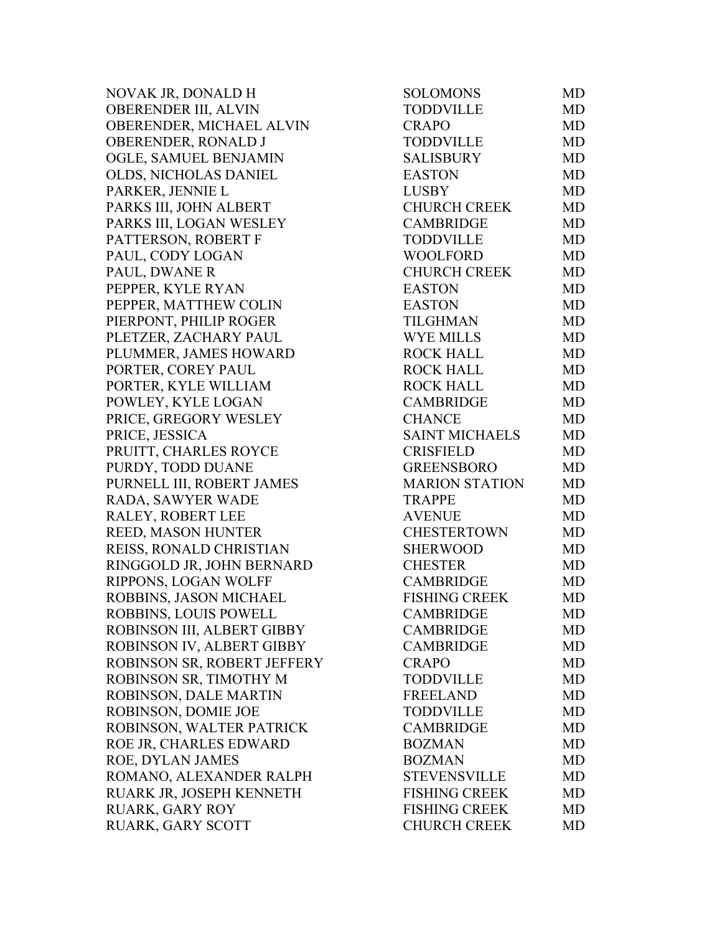NOVAK JR, DONALD H OBERENDER III, ALVIN OBERENDER, MICHAEL ALVIN OBERENDER, RONALD J OGLE, SAMUEL BENJAMIN OLDS, NICHOLAS DANIEL PARKER, JENNIE L PARKS III, JOHN ALBERT PARKS III, LOGAN WESLEY PATTERSON, ROBERT F PAUL, CODY LOGAN PAUL, DWANE R PEPPER, KYLE RYAN PEPPER, MATTHEW COLIN PIERPONT, PHILIP ROGER PLETZER, ZACHARY PAUL PLUMMER, JAMES HOWARD PORTER, COREY PAUL PORTER, KYLE WILLIAM POWLEY, KYLE LOGAN PRICE, GREGORY WESLEY PRICE, JESSICA PRUITT, CHARLES ROYCE PURDY, TODD DUANE PURNELL III, ROBERT JAMES RADA, SAWYER WADE RALEY, ROBERT LEE REED, MASON HUNTER REISS, RONALD CHRISTIAN RINGGOLD JR, JOHN BERNARD RIPPONS, LOGAN WOLFF ROBBINS, JASON MICHAEL ROBBINS, LOUIS POWELL ROBINSON III, ALBERT GIBBY ROBINSON IV, ALBERT GIBBY ROBINSON SR, ROBERT JEFFERY ROBINSON SR, TIMOTHY M ROBINSON, DALE MARTIN ROBINSON, DOMIE JOE ROBINSON, WALTER PATRICK ROE JR, CHARLES EDWARD ROE, DYLAN JAMES ROMANO, ALEXANDER RALPH RUARK JR, JOSEPH KENNETH RUARK, GARY ROY RUARK, GARY SCOTT

| <b>SOLOMONS</b>       | MD        |
|-----------------------|-----------|
| <b>TODDVILLE</b>      | <b>MD</b> |
| <b>CRAPO</b>          | MD        |
| <b>TODDVILLE</b>      | <b>MD</b> |
| <b>SALISBURY</b>      | <b>MD</b> |
| <b>EASTON</b>         | <b>MD</b> |
| <b>LUSBY</b>          | <b>MD</b> |
| <b>CHURCH CREEK</b>   | <b>MD</b> |
| <b>CAMBRIDGE</b>      | <b>MD</b> |
| <b>TODDVILLE</b>      | <b>MD</b> |
| <b>WOOLFORD</b>       | <b>MD</b> |
| <b>CHURCH CREEK</b>   | <b>MD</b> |
| <b>EASTON</b>         | <b>MD</b> |
| <b>EASTON</b>         | <b>MD</b> |
| <b>TILGHMAN</b>       | <b>MD</b> |
| <b>WYE MILLS</b>      | <b>MD</b> |
| <b>ROCK HALL</b>      | <b>MD</b> |
| <b>ROCK HALL</b>      | <b>MD</b> |
| <b>ROCK HALL</b>      | <b>MD</b> |
| <b>CAMBRIDGE</b>      | <b>MD</b> |
| <b>CHANCE</b>         | <b>MD</b> |
| <b>SAINT MICHAELS</b> | <b>MD</b> |
| <b>CRISFIELD</b>      | MD        |
| <b>GREENSBORO</b>     | <b>MD</b> |
| <b>MARION STATION</b> | <b>MD</b> |
| <b>TRAPPE</b>         | MD        |
| <b>AVENUE</b>         | <b>MD</b> |
| <b>CHESTERTOWN</b>    | <b>MD</b> |
| <b>SHERWOOD</b>       | <b>MD</b> |
| <b>CHESTER</b>        | <b>MD</b> |
| <b>CAMBRIDGE</b>      | <b>MD</b> |
| <b>FISHING CREEK</b>  | <b>MD</b> |
| <b>CAMBRIDGE</b>      | MD        |
| <b>CAMBRIDGE</b>      | MD        |
| <b>CAMBRIDGE</b>      | <b>MD</b> |
| <b>CRAPO</b>          | <b>MD</b> |
| <b>TODDVILLE</b>      | <b>MD</b> |
| <b>FREELAND</b>       | <b>MD</b> |
| <b>TODDVILLE</b>      | MD        |
| <b>CAMBRIDGE</b>      | MD        |
| <b>BOZMAN</b>         | <b>MD</b> |
| <b>BOZMAN</b>         | <b>MD</b> |
| <b>STEVENSVILLE</b>   | MD        |
| <b>FISHING CREEK</b>  | <b>MD</b> |
| <b>FISHING CREEK</b>  | <b>MD</b> |
| <b>CHURCH CREEK</b>   | <b>MD</b> |
|                       |           |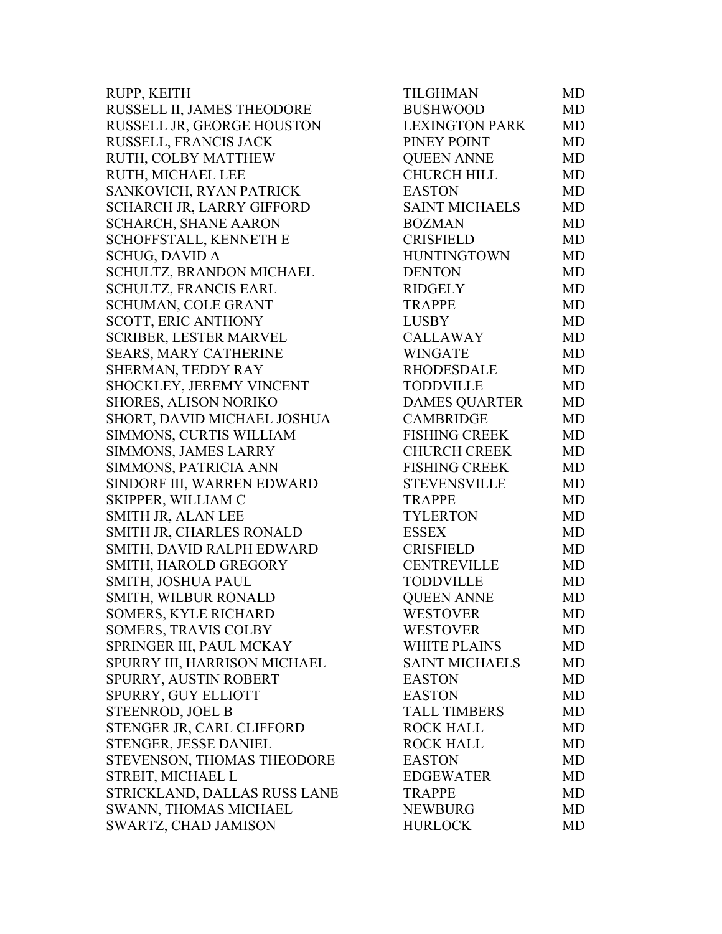| RUPP, KEITH                      | TILGHMAN              | MD        |
|----------------------------------|-----------------------|-----------|
| RUSSELL II, JAMES THEODORE       | <b>BUSHWOOD</b>       | <b>MD</b> |
| RUSSELL JR, GEORGE HOUSTON       | <b>LEXINGTON PARK</b> | MD        |
| RUSSELL, FRANCIS JACK            | PINEY POINT           | <b>MD</b> |
| RUTH, COLBY MATTHEW              | <b>QUEEN ANNE</b>     | MD        |
| RUTH, MICHAEL LEE                | <b>CHURCH HILL</b>    | MD        |
| SANKOVICH, RYAN PATRICK          | <b>EASTON</b>         | MD        |
| <b>SCHARCH JR, LARRY GIFFORD</b> | <b>SAINT MICHAELS</b> | MD        |
| <b>SCHARCH, SHANE AARON</b>      | <b>BOZMAN</b>         | MD        |
| SCHOFFSTALL, KENNETH E           | <b>CRISFIELD</b>      | MD        |
| <b>SCHUG, DAVID A</b>            | <b>HUNTINGTOWN</b>    | <b>MD</b> |
| SCHULTZ, BRANDON MICHAEL         | <b>DENTON</b>         | MD        |
| SCHULTZ, FRANCIS EARL            | <b>RIDGELY</b>        | MD        |
| <b>SCHUMAN, COLE GRANT</b>       | <b>TRAPPE</b>         | MD        |
| <b>SCOTT, ERIC ANTHONY</b>       | <b>LUSBY</b>          | MD        |
| <b>SCRIBER, LESTER MARVEL</b>    | <b>CALLAWAY</b>       | <b>MD</b> |
| SEARS, MARY CATHERINE            | <b>WINGATE</b>        | MD        |
| SHERMAN, TEDDY RAY               | <b>RHODESDALE</b>     | MD        |
| SHOCKLEY, JEREMY VINCENT         | <b>TODDVILLE</b>      | MD        |
| SHORES, ALISON NORIKO            | <b>DAMES QUARTER</b>  | <b>MD</b> |
| SHORT, DAVID MICHAEL JOSHUA      | <b>CAMBRIDGE</b>      | MD        |
| SIMMONS, CURTIS WILLIAM          | <b>FISHING CREEK</b>  | MD        |
| SIMMONS, JAMES LARRY             | <b>CHURCH CREEK</b>   | MD        |
| SIMMONS, PATRICIA ANN            | <b>FISHING CREEK</b>  | MD        |
| SINDORF III, WARREN EDWARD       | <b>STEVENSVILLE</b>   | <b>MD</b> |
| SKIPPER, WILLIAM C               | <b>TRAPPE</b>         | MD        |
| SMITH JR, ALAN LEE               | <b>TYLERTON</b>       | MD        |
| SMITH JR, CHARLES RONALD         | <b>ESSEX</b>          | MD        |
| SMITH, DAVID RALPH EDWARD        | <b>CRISFIELD</b>      | MD        |
| SMITH, HAROLD GREGORY            | <b>CENTREVILLE</b>    | MD        |
| SMITH, JOSHUA PAUL               | <b>TODDVILLE</b>      | MD        |
| <b>SMITH, WILBUR RONALD</b>      | <b>QUEEN ANNE</b>     | MD        |
| SOMERS, KYLE RICHARD             | <b>WESTOVER</b>       | MD        |
| SOMERS, TRAVIS COLBY             | <b>WESTOVER</b>       | MD.       |
| SPRINGER III, PAUL MCKAY         | <b>WHITE PLAINS</b>   | MD        |
| SPURRY III, HARRISON MICHAEL     | <b>SAINT MICHAELS</b> | <b>MD</b> |
| SPURRY, AUSTIN ROBERT            | <b>EASTON</b>         | MD        |
| SPURRY, GUY ELLIOTT              | <b>EASTON</b>         | <b>MD</b> |
| <b>STEENROD, JOEL B</b>          | <b>TALL TIMBERS</b>   | <b>MD</b> |
| STENGER JR, CARL CLIFFORD        | <b>ROCK HALL</b>      | MD        |
| STENGER, JESSE DANIEL            | <b>ROCK HALL</b>      | MD        |
| STEVENSON, THOMAS THEODORE       | <b>EASTON</b>         | MD        |
| STREIT, MICHAEL L                | <b>EDGEWATER</b>      | MD        |
| STRICKLAND, DALLAS RUSS LANE     | <b>TRAPPE</b>         | <b>MD</b> |
| SWANN, THOMAS MICHAEL            | <b>NEWBURG</b>        | <b>MD</b> |
| SWARTZ, CHAD JAMISON             | <b>HURLOCK</b>        | MD        |
|                                  |                       |           |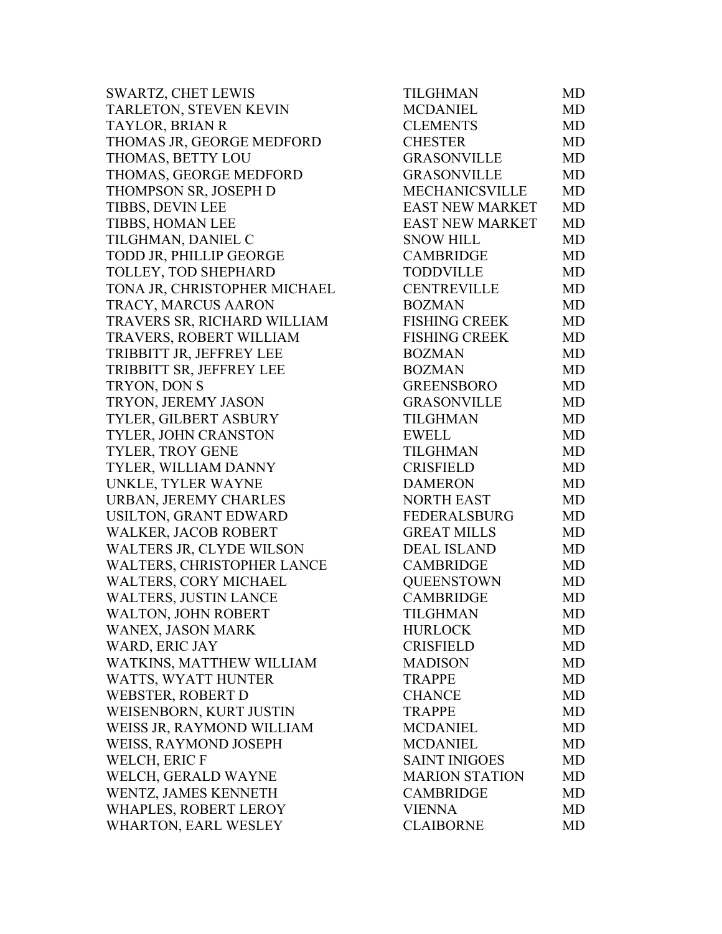| <b>SWARTZ, CHET LEWIS</b>       | TILGHMAN               | MD        |
|---------------------------------|------------------------|-----------|
| TARLETON, STEVEN KEVIN          | <b>MCDANIEL</b>        | MD        |
| <b>TAYLOR, BRIAN R</b>          | <b>CLEMENTS</b>        | MD        |
| THOMAS JR, GEORGE MEDFORD       | <b>CHESTER</b>         | <b>MD</b> |
| THOMAS, BETTY LOU               | <b>GRASONVILLE</b>     | MD        |
| THOMAS, GEORGE MEDFORD          | <b>GRASONVILLE</b>     | <b>MD</b> |
| THOMPSON SR, JOSEPH D           | <b>MECHANICSVILLE</b>  | <b>MD</b> |
| <b>TIBBS, DEVIN LEE</b>         | <b>EAST NEW MARKET</b> | MD        |
| TIBBS, HOMAN LEE                | <b>EAST NEW MARKET</b> | <b>MD</b> |
| TILGHMAN, DANIEL C              | <b>SNOW HILL</b>       | MD        |
| TODD JR, PHILLIP GEORGE         | <b>CAMBRIDGE</b>       | <b>MD</b> |
| TOLLEY, TOD SHEPHARD            | TODDVILLE              | <b>MD</b> |
| TONA JR, CHRISTOPHER MICHAEL    | <b>CENTREVILLE</b>     | MD        |
| TRACY, MARCUS AARON             | <b>BOZMAN</b>          | <b>MD</b> |
| TRAVERS SR, RICHARD WILLIAM     | <b>FISHING CREEK</b>   | <b>MD</b> |
| TRAVERS, ROBERT WILLIAM         | <b>FISHING CREEK</b>   | <b>MD</b> |
| TRIBBITT JR, JEFFREY LEE        | <b>BOZMAN</b>          | <b>MD</b> |
| TRIBBITT SR, JEFFREY LEE        | <b>BOZMAN</b>          | MD        |
| TRYON, DON S                    | <b>GREENSBORO</b>      | MD        |
| TRYON, JEREMY JASON             | <b>GRASONVILLE</b>     | <b>MD</b> |
| TYLER, GILBERT ASBURY           | <b>TILGHMAN</b>        | <b>MD</b> |
| TYLER, JOHN CRANSTON            | <b>EWELL</b>           | <b>MD</b> |
| TYLER, TROY GENE                | <b>TILGHMAN</b>        | <b>MD</b> |
| TYLER, WILLIAM DANNY            | <b>CRISFIELD</b>       | <b>MD</b> |
| UNKLE, TYLER WAYNE              | <b>DAMERON</b>         | MD        |
| URBAN, JEREMY CHARLES           | <b>NORTH EAST</b>      | MD        |
| USILTON, GRANT EDWARD           | <b>FEDERALSBURG</b>    | <b>MD</b> |
| <b>WALKER, JACOB ROBERT</b>     | <b>GREAT MILLS</b>     | <b>MD</b> |
| <b>WALTERS JR, CLYDE WILSON</b> | <b>DEAL ISLAND</b>     | <b>MD</b> |
| WALTERS, CHRISTOPHER LANCE      | <b>CAMBRIDGE</b>       | <b>MD</b> |
| WALTERS, CORY MICHAEL           | <b>QUEENSTOWN</b>      | MD        |
| <b>WALTERS, JUSTIN LANCE</b>    | <b>CAMBRIDGE</b>       | MD        |
| <b>WALTON, JOHN ROBERT</b>      | TILGHMAN               | MD        |
| WANEX, JASON MARK               | <b>HURLOCK</b>         | MD        |
| WARD, ERIC JAY                  | <b>CRISFIELD</b>       | MD        |
| WATKINS, MATTHEW WILLIAM        | <b>MADISON</b>         | MD        |
| WATTS, WYATT HUNTER             | <b>TRAPPE</b>          | MD        |
| <b>WEBSTER, ROBERT D</b>        | <b>CHANCE</b>          | MD        |
| WEISENBORN, KURT JUSTIN         | <b>TRAPPE</b>          | <b>MD</b> |
| WEISS JR, RAYMOND WILLIAM       | <b>MCDANIEL</b>        | MD        |
| WEISS, RAYMOND JOSEPH           | <b>MCDANIEL</b>        | MD        |
| WELCH, ERIC F                   | <b>SAINT INIGOES</b>   | MD        |
| WELCH, GERALD WAYNE             | <b>MARION STATION</b>  | MD        |
| WENTZ, JAMES KENNETH            | <b>CAMBRIDGE</b>       | <b>MD</b> |
| WHAPLES, ROBERT LEROY           | <b>VIENNA</b>          | MD        |
| WHARTON, EARL WESLEY            | <b>CLAIBORNE</b>       | MD        |
|                                 |                        |           |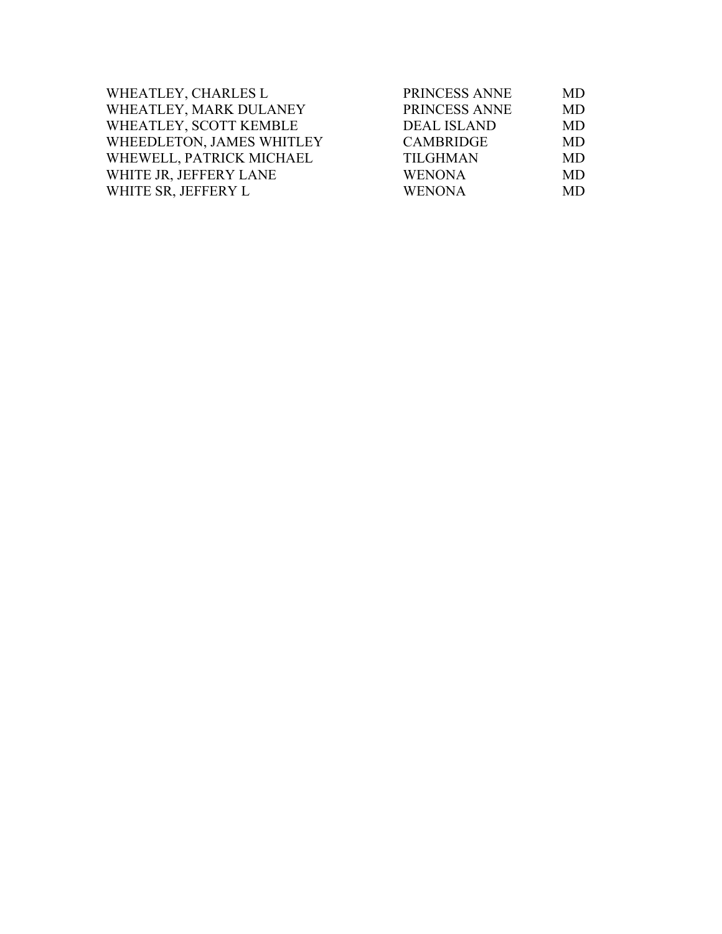| WHEATLEY, CHARLES L       | PRINCESS ANNE      | <b>MD</b> |
|---------------------------|--------------------|-----------|
| WHEATLEY, MARK DULANEY    | PRINCESS ANNE      | <b>MD</b> |
| WHEATLEY, SCOTT KEMBLE    | <b>DEAL ISLAND</b> | MD        |
| WHEEDLETON, JAMES WHITLEY | <b>CAMBRIDGE</b>   | <b>MD</b> |
| WHEWELL, PATRICK MICHAEL  | <b>TILGHMAN</b>    | <b>MD</b> |
| WHITE JR, JEFFERY LANE    | <b>WENONA</b>      | <b>MD</b> |
| WHITE SR, JEFFERY L       | <b>WENONA</b>      | <b>MD</b> |
|                           |                    |           |